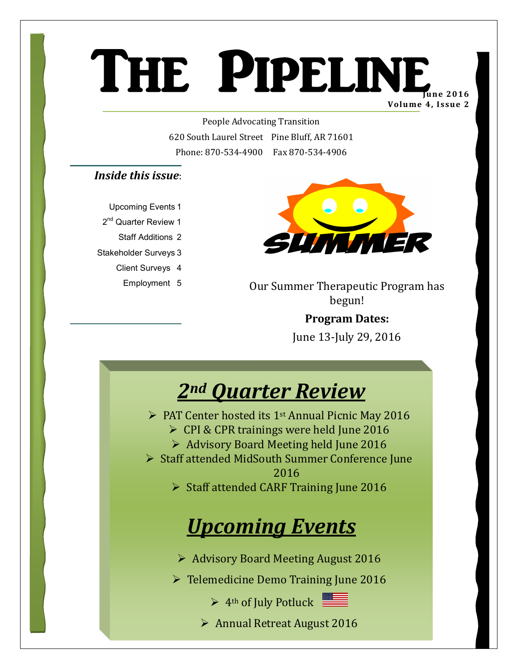## THE PIPELINE **Volume 4, Issue 2**  $\frac{1}{20}$

People Advocating Transition 620 South Laurel Street Pine Bluff, AR 71601 Phone: 870-534-4900 Fax 870-534-4906

#### *Inside this issue*:

Upcoming Events 1 2<sup>nd</sup> Quarter Review 1 Staff Additions 2 Stakeholder Surveys 3 Client Surveys 4 Employment 5



Our Summer Therapeutic Program has begun!

> **Program Dates:**  June 13-July 29, 2016



- $\triangleright$  PAT Center hosted its 1<sup>st</sup> Annual Picnic May 2016
	- $\triangleright$  CPI & CPR trainings were held June 2016
	- $\triangleright$  Advisory Board Meeting held June 2016
- ▶ Staff attended MidSouth Summer Conference June 2016

 $\triangleright$  Staff attended CARF Training June 2016

## *Upcoming Events*

¾ Advisory Board Meeting August 2016

¾ Telemedicine Demo Training June 2016

 $\triangleright$  4<sup>th</sup> of July Potluck

¾ Annual Retreat August 2016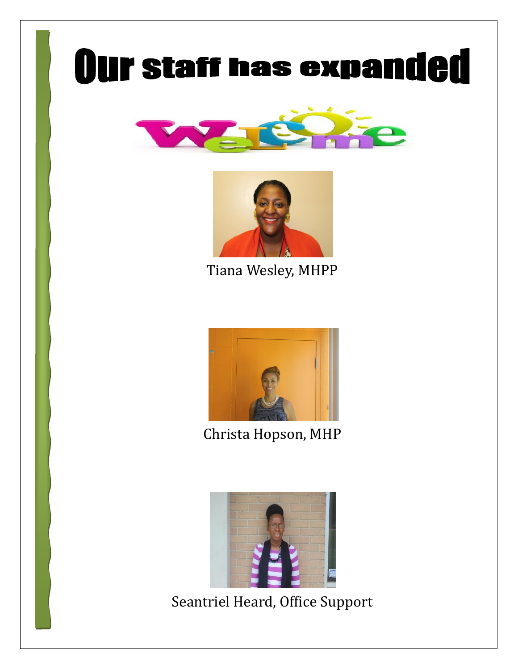# **Our staff has expanded**





Tiana Wesley, MHPP



Christa Hopson, MHP



Seantriel Heard, Office Support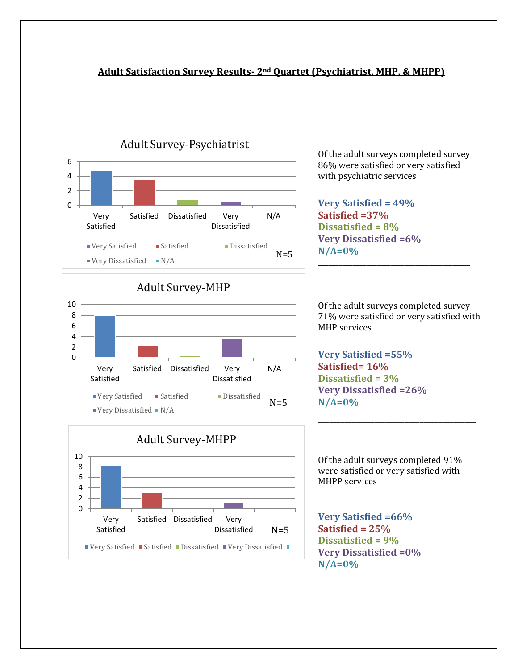#### **Adult Satisfaction Survey Results- 2nd Quartet (Psychiatrist, MHP, & MHPP)**







Of the adult surveys completed survey 86% were satisfied or very satisfied with psychiatric services

**Very Satisfied = 49% Satisfied =37% Dissatisfied = 8% Very Dissatisfied =6% N/A=0%**

Of the adult surveys completed survey 71% were satisfied or very satisfied with MHP services

**\_\_\_\_\_\_\_\_\_\_\_\_\_\_\_\_\_\_\_\_\_\_\_\_\_\_\_\_\_\_\_\_\_\_\_\_\_\_\_\_\_\_\_\_**

**Very Satisfied =55% Satisfied= 16% Dissatisfied = 3% Very Dissatisfied =26% N/A=0%**

Of the adult surveys completed 91% were satisfied or very satisfied with MHPP services

**\_\_\_\_\_\_\_\_\_\_\_\_\_\_\_\_\_\_\_\_\_\_\_\_\_\_\_\_\_\_\_\_\_\_\_\_\_\_\_\_\_\_**

**Very Satisfied =66% Satisfied = 25% Dissatisfied = 9% Very Dissatisfied =0% N/A=0%**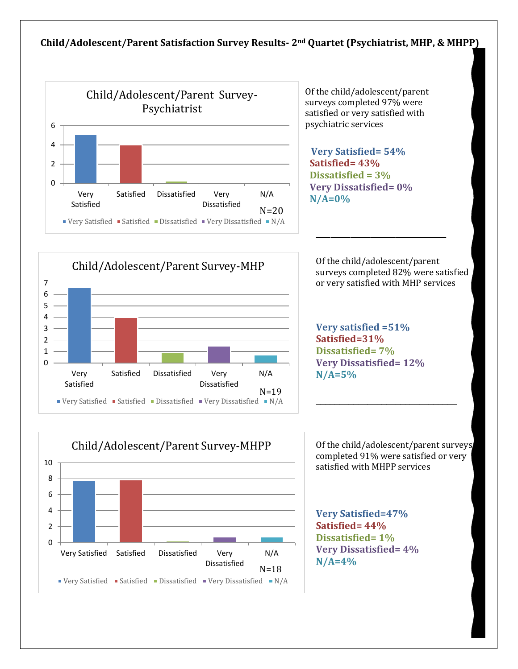#### **Child/Adolescent/Parent Satisfaction Survey Results- 2nd Quartet (Psychiatrist, MHP, & MHPP)**



Of the child/adolescent/parent surveys completed 97% were satisfied or very satisfied with psychiatric services

 **Very Satisfied= 54% Satisfied= 43% Dissatisfied = 3% Very Dissatisfied= 0% N/A=0%**

Of the child/adolescent/parent surveys completed 82% were satisfied or very satisfied with MHP services

\_\_\_\_\_\_\_\_\_\_\_\_\_\_\_\_\_\_\_\_\_\_\_\_\_\_

**Very satisfied =51% Satisfied=31% Dissatisfied= 7% Very Dissatisfied= 12% N/A=5%**

Of the child/adolescent/parent surveys completed 91% were satisfied or very satisfied with MHPP services

 $\_$ 

**Very Satisfied=47% Satisfied= 44% Dissatisfied= 1% Very Dissatisfied= 4% N/A=4%**